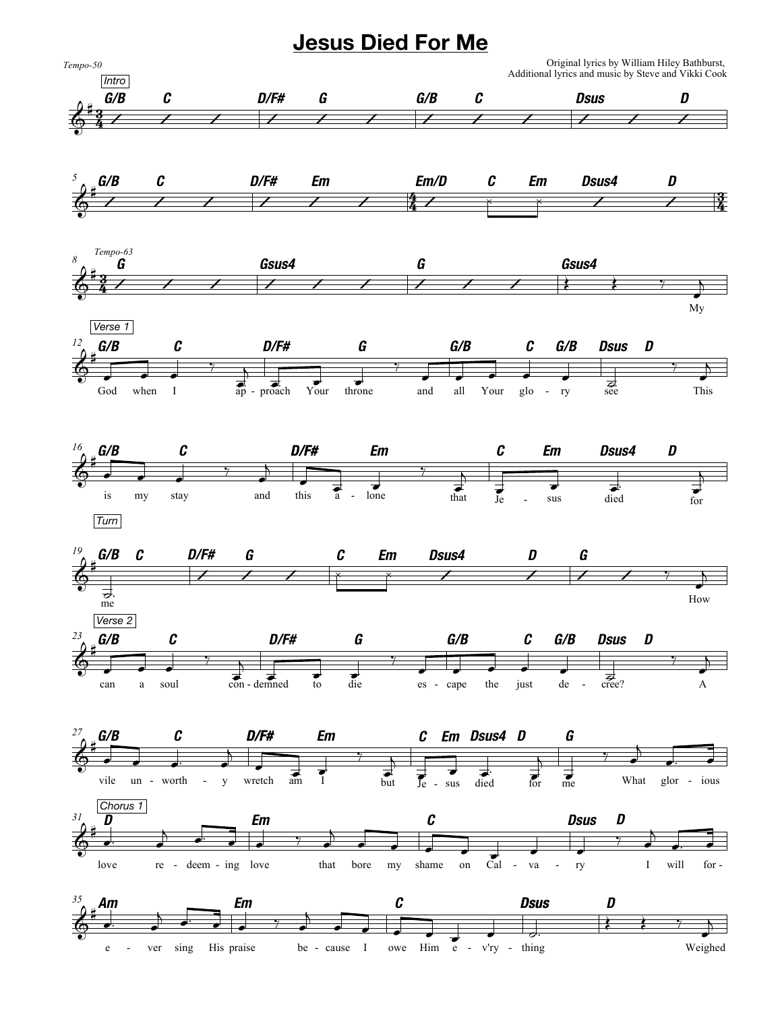## **Jesus Died For Me**